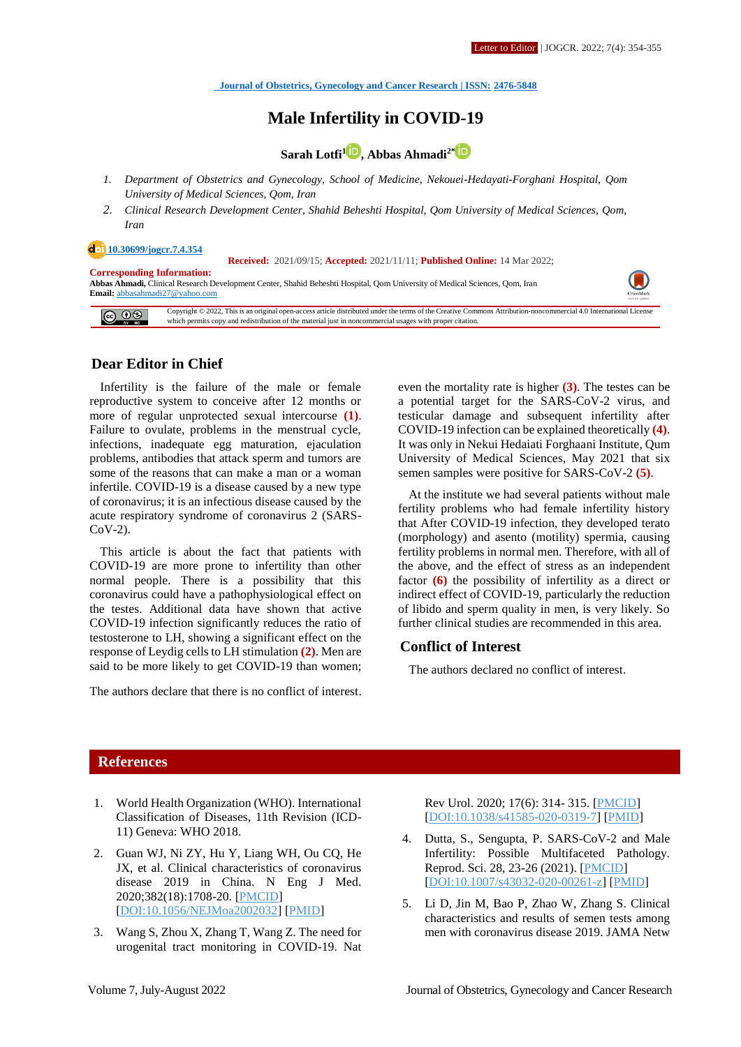# **Male Infertility in COVID-19**

**Sarah Lotfi[1](http://orcid.org/0000-0003-1553-0760) , Abbas Ahmadi2\***

- *1. Department of Obstetrics and Gynecology, School of Medicine, Nekouei-Hedayati-Forghani Hospital, Qom University of Medical Sciences, Qom, Iran*
- *2. Clinical Research Development Center, Shahid Beheshti Hospital, Qom University of Medical Sciences, Qom, Iran*

#### **[10.30699/jogcr.7.4.354](http://dx.doi.org/10.30699/jogcr.7.4.354)**

 **Received:** 2021/09/15; **Accepted:** 2021/11/11; **Published Online:** 14 Mar 2022;

**Corresponding Information: Abbas Ahmadi,** Clinical Research Development Center, Shahid Beheshti Hospital, Qom University of Medical Sciences, Qom, Iran **Email:** [abbasahmadi27@yahoo.com](mailto:abbasahmadi27@yahoo.com)

 $\boxed{609}$ Copyright © 2022, This is an original open-access article distributed under the terms of the Creative Commons Attribution-noncommercial 4.0 International License which permits copy and redistribution of the material just in noncommercial usages with proper citation.

## **Dear Editor in Chief**

Infertility is the failure of the male or female reproductive system to conceive after 12 months or more of regular unprotected sexual intercourse **(1)**. Failure to ovulate, problems in the menstrual cycle, infections, inadequate egg maturation, ejaculation problems, antibodies that attack sperm and tumors are some of the reasons that can make a man or a woman infertile. COVID-19 is a disease caused by a new type of coronavirus; it is an infectious disease caused by the acute respiratory syndrome of coronavirus 2 (SARS-CoV-2).

This article is about the fact that patients with COVID-19 are more prone to infertility than other normal people. There is a possibility that this coronavirus could have a pathophysiological effect on the testes. Additional data have shown that active COVID-19 infection significantly reduces the ratio of testosterone to LH, showing a significant effect on the response of Leydig cells to LH stimulation **(2)**. Men are said to be more likely to get COVID-19 than women;

The authors declare that there is no conflict of interest.

even the mortality rate is higher **(3)**. The testes can be a potential target for the SARS-CoV-2 virus, and testicular damage and subsequent infertility after COVID-19 infection can be explained theoretically **(4)**. It was only in Nekui Hedaiati Forghaani Institute, Qum University of Medical Sciences, May 2021 that six semen samples were positive for SARS-CoV-2 **(5)**.

At the institute we had several patients without male fertility problems who had female infertility history that After COVID-19 infection, they developed terato (morphology) and asento (motility) spermia, causing fertility problems in normal men. Therefore, with all of the above, and the effect of stress as an independent factor **(6)** the possibility of infertility as a direct or indirect effect of COVID-19, particularly the reduction of libido and sperm quality in men, is very likely. So further clinical studies are recommended in this area.

### **Conflict of Interest**

The authors declared no conflict of interest.

# **References**

- 1. World Health Organization (WHO). International Classification of Diseases, 11th Revision (ICD-11) Geneva: WHO 2018.
- 2. Guan WJ, Ni ZY, Hu Y, Liang WH, Ou CQ, He JX, et al. Clinical characteristics of coronavirus disease 2019 in China. N Eng J Med. 2020;382(18):1708-20. [\[PMCID\]](http://www.ncbi.nlm.nih.gov/pmc/articles/PMC7092819) [\[DOI:10.1056/NEJMoa2002032\]](https://doi.org/10.1056/NEJMoa2002032) [\[PMID\]](https://www.ncbi.nlm.nih.gov/pubmed/32109013)
- 3. Wang S, Zhou X, Zhang T, Wang Z. The need for urogenital tract monitoring in COVID-19. Nat

Rev Urol. 2020; 17(6): 314- 315. [\[PMCID\]](http://www.ncbi.nlm.nih.gov/pmc/articles/PMC7186932) [\[DOI:10.1038/s41585-020-0319-7\]](https://doi.org/10.1038/s41585-020-0319-7) [\[PMID\]](https://www.ncbi.nlm.nih.gov/pubmed/32313110)

- 4. Dutta, S., Sengupta, P. SARS-CoV-2 and Male Infertility: Possible Multifaceted Pathology. Reprod. Sci. 28, 23-26 (2021). [\[PMCID\]](http://www.ncbi.nlm.nih.gov/pmc/articles/PMC7351544) [\[DOI:10.1007/s43032-020-00261-z\]](https://doi.org/10.1007/s43032-020-00261-z) [\[PMID\]](https://www.ncbi.nlm.nih.gov/pubmed/32651900)
- 5. Li D, Jin M, Bao P, Zhao W, Zhang S. Clinical characteristics and results of semen tests among men with coronavirus disease 2019. JAMA Netw